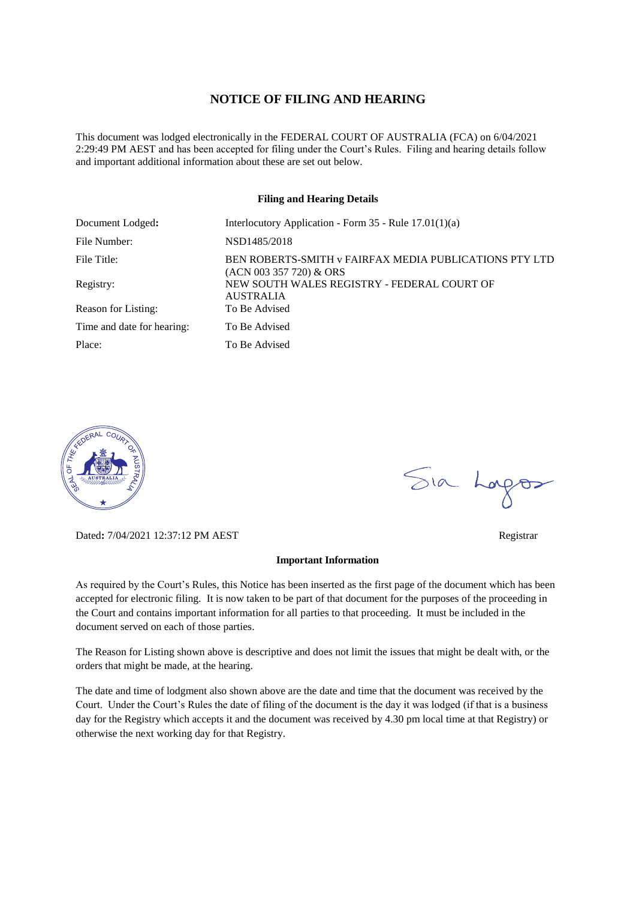## **NOTICE OF FILING AND HEARING**

This document was lodged electronically in the FEDERAL COURT OF AUSTRALIA (FCA) on 6/04/2021 2:29:49 PM AEST and has been accepted for filing under the Court's Rules. Filing and hearing details follow and important additional information about these are set out below.

#### **Filing and Hearing Details**

| Document Lodged:           | Interlocutory Application - Form 35 - Rule 17.01(1)(a)                            |
|----------------------------|-----------------------------------------------------------------------------------|
| File Number:               | NSD1485/2018                                                                      |
| File Title:                | BEN ROBERTS-SMITH v FAIRFAX MEDIA PUBLICATIONS PTY LTD<br>(ACN 003 357 720) & ORS |
| Registry:                  | NEW SOUTH WALES REGISTRY - FEDERAL COURT OF<br><b>AUSTRALIA</b>                   |
| Reason for Listing:        | To Be Advised                                                                     |
| Time and date for hearing: | To Be Advised                                                                     |
| Place:                     | To Be Advised                                                                     |



Dated**:** 7/04/2021 12:37:12 PM AEST Registrar

#### **Important Information**

As required by the Court's Rules, this Notice has been inserted as the first page of the document which has been accepted for electronic filing. It is now taken to be part of that document for the purposes of the proceeding in the Court and contains important information for all parties to that proceeding. It must be included in the document served on each of those parties.

The Reason for Listing shown above is descriptive and does not limit the issues that might be dealt with, or the orders that might be made, at the hearing.

The date and time of lodgment also shown above are the date and time that the document was received by the Court. Under the Court's Rules the date of filing of the document is the day it was lodged (if that is a business day for the Registry which accepts it and the document was received by 4.30 pm local time at that Registry) or otherwise the next working day for that Registry.

Sia Logos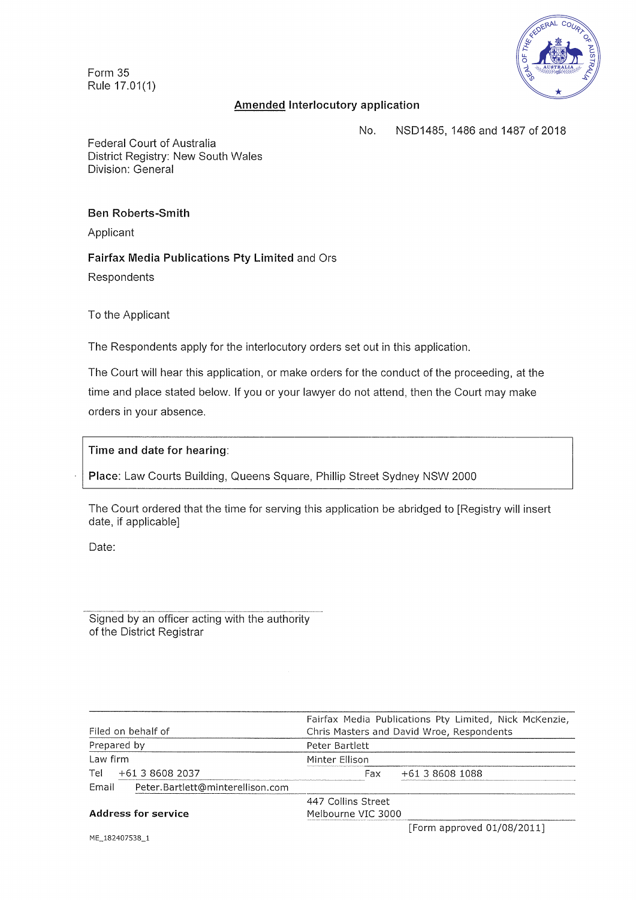**Form 35 Rule 17.01(1)** 



# **Amended Interlocutory application**

No. NSD1485, 1486 and 1487 of 2018

Federal Court of Australia District Registry: New South Wales Division: General

### **Ben Roberts-Smith**

Applicant

## **Fairfax Media Publications Pty Limited** and Ors

Respondents

To the Applicant

The Respondents apply for the interlocutory orders set out in this application.

The Court will hear this application, or make orders for the conduct of the proceeding, at the time and place stated below. If you or your lawyer do not attend, then the Court may make orders in your absence.

### **Time and date for hearing:**

**Place:** Law **Courts Building,** Queens Square, Phillip Street Sydney NSW 2000

The Court ordered that the time for serving this application be abridged to [Registry will insert date, if applicable]

Date:

Signed by an officer acting **with the** authority of the District Registrar

| Filed on behalf of         |                                  | Fairfax Media Publications Pty Limited, Nick McKenzie,<br>Chris Masters and David Wroe, Respondents |     |                            |  |
|----------------------------|----------------------------------|-----------------------------------------------------------------------------------------------------|-----|----------------------------|--|
| Prepared by                |                                  | Peter Bartlett                                                                                      |     |                            |  |
| Law firm                   |                                  | Minter Ellison                                                                                      |     |                            |  |
| Tel                        | +61 3 8608 2037                  |                                                                                                     | Fax | +61 3 8608 1088            |  |
| Email                      | Peter.Bartlett@minterellison.com |                                                                                                     |     |                            |  |
| <b>Address for service</b> |                                  | 447 Collins Street                                                                                  |     |                            |  |
|                            |                                  | Melbourne VIC 3000                                                                                  |     |                            |  |
|                            |                                  |                                                                                                     |     | [Form approved 01/08/2011] |  |

ME\_182407538\_1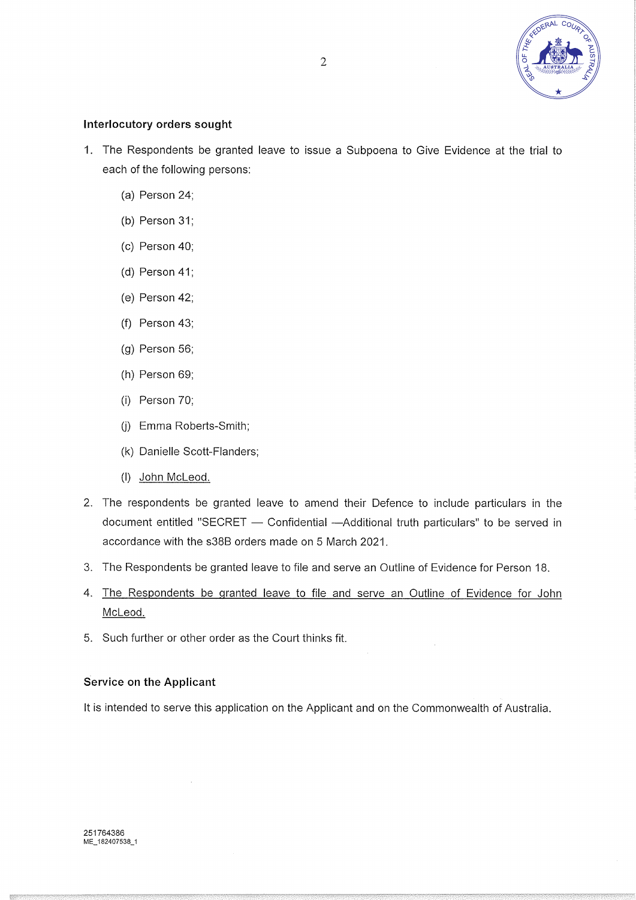

# Interlocutory orders sought

- 1. The Respondents be granted leave to issue a Subpoena to Give Evidence at the trial to each of the following persons:
	- (a) Person 24;
	- (b) Person 31;
	- (c) Person 40;
	- (d) Person 41;
	- (e) Person 42;
	- (f) Person 43;
	- (g) Person 56;
	- (h) Person 69;
	- (i) Person 70;
	- (j) Emma Roberts-Smith;
	- (k) Danielle Scott-Flanders;
	- (I) John McLeod.
- 2. The respondents be granted leave to amend their Defence to include particulars in the document entitled "SECRET — Confidential —Additional truth particulars" to be served in accordance with the s38B orders made on 5 March 2021.
- 3. The Respondents be granted leave to file and serve an Outline of Evidence for Person 18.
- 4. The Respondents be granted leave to file and serve an Outline of Evidence for John McLeod.
- 5. Such further or other order as the Court thinks fit.

### Service on the Applicant

It is intended to serve this application on the Applicant and on the Commonwealth of Australia.